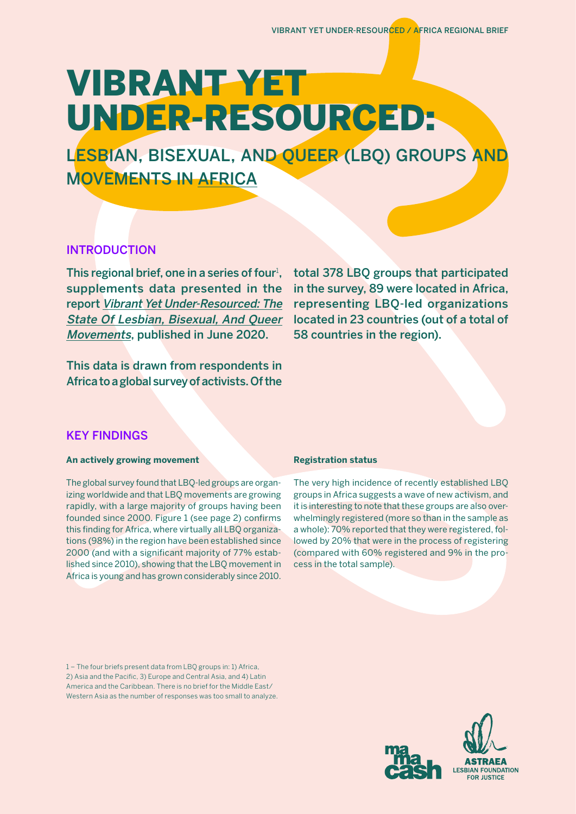# VIBRANT YET UNDER-RESOURCED:

LESBIAN, BISEXUAL, AND QUEER (LBQ) GROUPS AND MOVEMENTS IN AFRICA

# INTRODUCTION

This regional brief, one in a series of four<sup>1</sup>, supplements data presented in the report [Vibrant Yet Under-Resourced: The](https://fundlbq.org/)  [State Of Lesbian, Bisexual, And Queer](https://fundlbq.org/)  [Movements](https://fundlbq.org/), published in June 2020.

This data is drawn from respondents in Africa to a global survey of activists. Of the

total 378 LBQ groups that participated in the survey, 89 were located in Africa, representing LBQ-led organizations located in 23 countries (out of a total of 58 countries in the region).

# KEY FINDINGS

## **An actively growing movement**

The global survey found that LBQ-led groups are organizing worldwide and that LBQ movements are growing rapidly, with a large majority of groups having been founded since 2000. Figure 1 (see page 2) confirms this finding for Africa, where virtually all LBQ organizations (98%) in the region have been established since 2000 (and with a significant majority of 77% established since 2010), showing that the LBQ movement in Africa is young and has grown considerably since 2010.

## **Registration status**

The very high incidence of recently established LBQ groups in Africa suggests a wave of new activism, and it is interesting to note that these groups are also overwhelmingly registered (more so than in the sample as a whole): 70% reported that they were registered, followed by 20% that were in the process of registering (compared with 60% registered and 9% in the process in the total sample).

1 – The four briefs present data from LBQ groups in: 1) Africa, 2) Asia and the Pacific, 3) Europe and Central Asia, and 4) Latin America and the Caribbean. There is no brief for the Middle East/ Western Asia as the number of responses was too small to analyze.

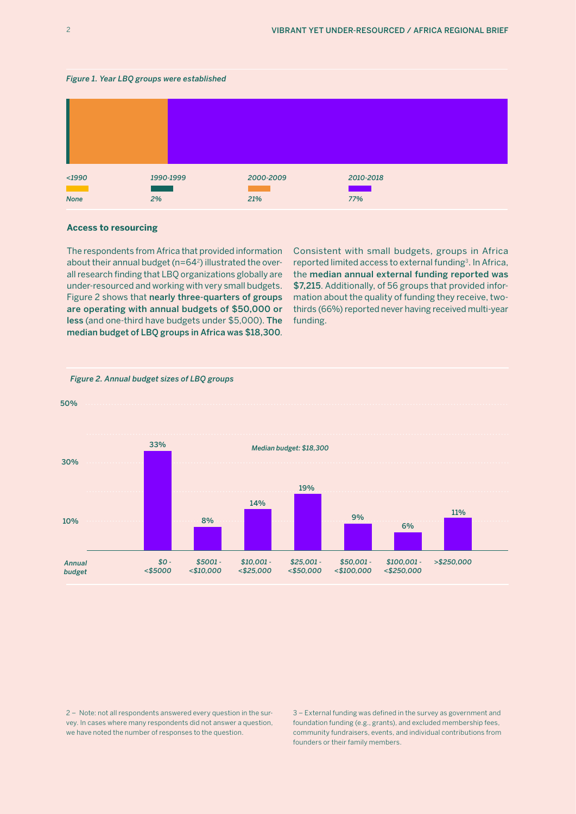



#### **Access to resourcing**

The respondents from Africa that provided information about their annual budget (n=64 $^2$ ) illustrated the overall research finding that LBQ organizations globally are under-resourced and working with very small budgets. Figure 2 shows that nearly three-quarters of groups are operating with annual budgets of \$50,000 or less (and one-third have budgets under \$5,000). The median budget of LBQ groups in Africa was \$18,300.

Consistent with small budgets, groups in Africa reported limited access to external funding<sup>3</sup>. In Africa, the median annual external funding reported was \$7,215. Additionally, of 56 groups that provided information about the quality of funding they receive, twothirds (66%) reported never having received multi-year funding.



#### *Figure 2. Annual budget sizes of LBQ groups*

2 – Note: not all respondents answered every question in the survey. In cases where many respondents did not answer a question, we have noted the number of responses to the question.

3 – External funding was defined in the survey as government and foundation funding (e.g., grants), and excluded membership fees, community fundraisers, events, and individual contributions from founders or their family members.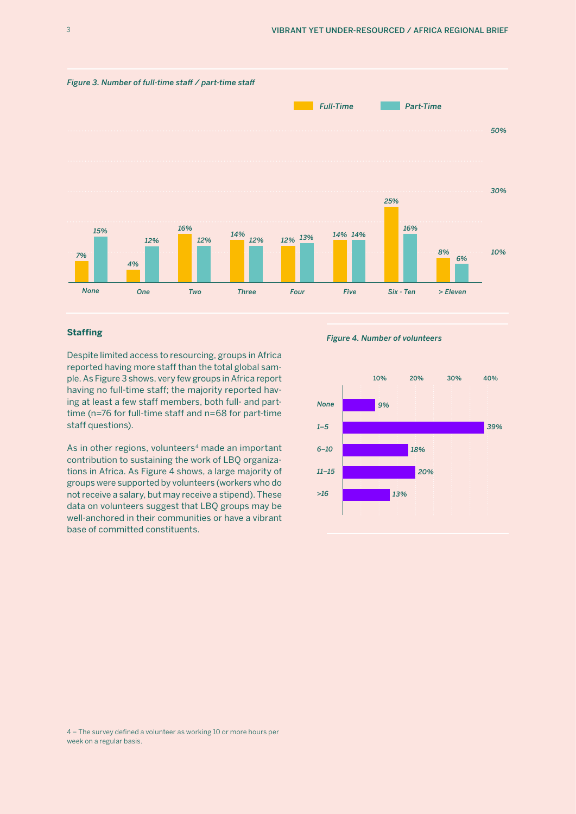

### **Staffing**

Despite limited access to resourcing, groups in Africa reported having more staff than the total global sample. As Figure 3 shows, very few groups in Africa report having no full-time staff; the majority reported having at least a few staff members, both full- and parttime (n=76 for full-time staff and n=68 for part-time staff questions).

As in other regions, volunteers<sup>4</sup> made an important contribution to sustaining the work of LBQ organizations in Africa. As Figure 4 shows, a large majority of groups were supported by volunteers (workers who do not receive a salary, but may receive a stipend). These data on volunteers suggest that LBQ groups may be well-anchored in their communities or have a vibrant base of committed constituents.

*Figure 4. Number of volunteers*



<sup>4 –</sup> The survey defined a volunteer as working 10 or more hours per week on a regular basis.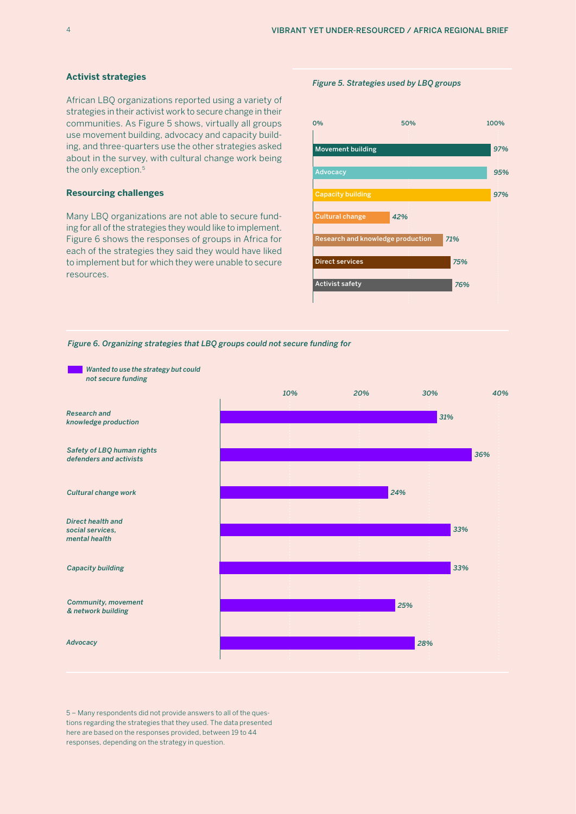#### **Activist strategies**

African LBQ organizations reported using a variety of strategies in their activist work to secure change in their communities. As Figure 5 shows, virtually all groups use movement building, advocacy and capacity building, and three-quarters use the other strategies asked about in the survey, with cultural change work being the only exception.<sup>5</sup>

#### **Resourcing challenges**

Many LBQ organizations are not able to secure funding for all of the strategies they would like to implement. Figure 6 shows the responses of groups in Africa for each of the strategies they said they would have liked to implement but for which they were unable to secure resources.

#### *Figure 5. Strategies used by LBQ groups*



*Figure 6. Organizing strategies that LBQ groups could not secure funding for* 



5 – Many respondents did not provide answers to all of the questions regarding the strategies that they used. The data presented here are based on the responses provided, between 19 to 44 responses, depending on the strategy in question.